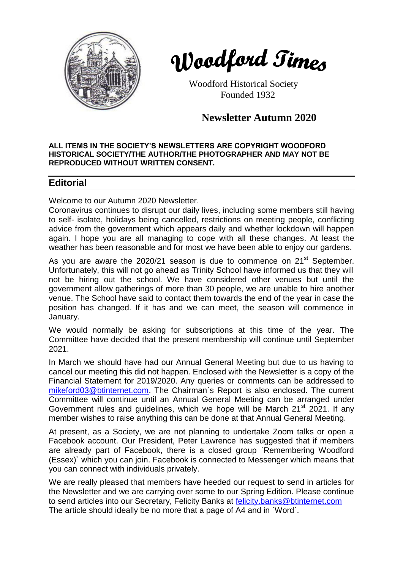



 Woodford Historical Society Founded 1932

**Newsletter Autumn 2020**

#### **ALL ITEMS IN THE SOCIETY'S NEWSLETTERS ARE COPYRIGHT WOODFORD HISTORICAL SOCIETY/THE AUTHOR/THE PHOTOGRAPHER AND MAY NOT BE REPRODUCED WITHOUT WRITTEN CONSENT.**

# **Editorial**

Welcome to our Autumn 2020 Newsletter.

Coronavirus continues to disrupt our daily lives, including some members still having to self- isolate, holidays being cancelled, restrictions on meeting people, conflicting advice from the government which appears daily and whether lockdown will happen again. I hope you are all managing to cope with all these changes. At least the weather has been reasonable and for most we have been able to enjoy our gardens.

As you are aware the  $2020/21$  season is due to commence on  $21<sup>st</sup>$  September. Unfortunately, this will not go ahead as Trinity School have informed us that they will not be hiring out the school. We have considered other venues but until the government allow gatherings of more than 30 people, we are unable to hire another venue. The School have said to contact them towards the end of the year in case the position has changed. If it has and we can meet, the season will commence in January.

We would normally be asking for subscriptions at this time of the year. The Committee have decided that the present membership will continue until September 2021.

In March we should have had our Annual General Meeting but due to us having to cancel our meeting this did not happen. Enclosed with the Newsletter is a copy of the Financial Statement for 2019/2020. Any queries or comments can be addressed to [mikeford03@btinternet.com.](mailto:mikeford03@btinternet.com) The Chairman`s Report is also enclosed. The current Committee will continue until an Annual General Meeting can be arranged under Government rules and quidelines, which we hope will be March  $21<sup>st</sup> 2021$ . If any member wishes to raise anything this can be done at that Annual General Meeting.

At present, as a Society, we are not planning to undertake Zoom talks or open a Facebook account. Our President, Peter Lawrence has suggested that if members are already part of Facebook, there is a closed group `Remembering Woodford (Essex)` which you can join. Facebook is connected to Messenger which means that you can connect with individuals privately.

We are really pleased that members have heeded our request to send in articles for the Newsletter and we are carrying over some to our Spring Edition. Please continue to send articles into our Secretary, Felicity Banks at [felicity.banks@btinternet.com](mailto:felicity.banks@btinternet.com) The article should ideally be no more that a page of A4 and in `Word`.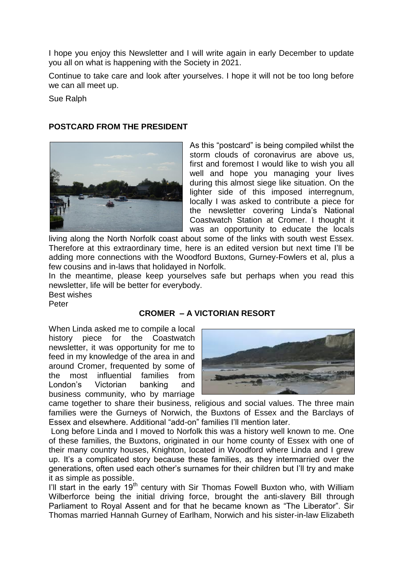I hope you enjoy this Newsletter and I will write again in early December to update you all on what is happening with the Society in 2021.

Continue to take care and look after yourselves. I hope it will not be too long before we can all meet up.

Sue Ralph

## **POSTCARD FROM THE PRESIDENT**



As this "postcard" is being compiled whilst the storm clouds of coronavirus are above us, first and foremost I would like to wish you all well and hope you managing your lives during this almost siege like situation. On the lighter side of this imposed interregnum, locally I was asked to contribute a piece for the newsletter covering Linda's National Coastwatch Station at Cromer. I thought it was an opportunity to educate the locals

living along the North Norfolk coast about some of the links with south west Essex. Therefore at this extraordinary time, here is an edited version but next time I'll be adding more connections with the Woodford Buxtons, Gurney-Fowlers et al, plus a few cousins and in-laws that holidayed in Norfolk.

In the meantime, please keep yourselves safe but perhaps when you read this newsletter, life will be better for everybody.

Best wishes

Peter

## **CROMER – A VICTORIAN RESORT**

When Linda asked me to compile a local history piece for the Coastwatch newsletter, it was opportunity for me to feed in my knowledge of the area in and around Cromer, frequented by some of the most influential families from London's Victorian banking and business community, who by marriage



came together to share their business, religious and social values. The three main families were the Gurneys of Norwich, the Buxtons of Essex and the Barclays of Essex and elsewhere. Additional "add-on" families I'll mention later.

Long before Linda and I moved to Norfolk this was a history well known to me. One of these families, the Buxtons, originated in our home county of Essex with one of their many country houses, Knighton, located in Woodford where Linda and I grew up. It's a complicated story because these families, as they intermarried over the generations, often used each other's surnames for their children but I'll try and make it as simple as possible.

I'll start in the early 19<sup>th</sup> century with Sir Thomas Fowell Buxton who, with William Wilberforce being the initial driving force, brought the anti-slavery Bill through Parliament to Royal Assent and for that he became known as "The Liberator". Sir Thomas married Hannah Gurney of Earlham, Norwich and his sister-in-law Elizabeth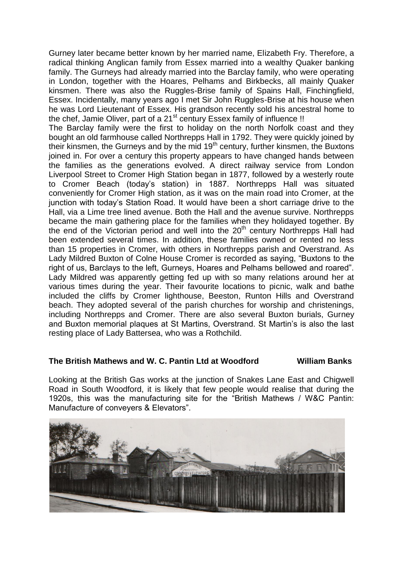Gurney later became better known by her married name, Elizabeth Fry. Therefore, a radical thinking Anglican family from Essex married into a wealthy Quaker banking family. The Gurneys had already married into the Barclay family, who were operating in London, together with the Hoares, Pelhams and Birkbecks, all mainly Quaker kinsmen. There was also the Ruggles-Brise family of Spains Hall, Finchingfield, Essex. Incidentally, many years ago I met Sir John Ruggles-Brise at his house when he was Lord Lieutenant of Essex. His grandson recently sold his ancestral home to the chef, Jamie Oliver, part of a  $21<sup>st</sup>$  century Essex family of influence !!

The Barclay family were the first to holiday on the north Norfolk coast and they bought an old farmhouse called Northrepps Hall in 1792. They were quickly joined by their kinsmen, the Gurneys and by the mid  $19<sup>th</sup>$  century, further kinsmen, the Buxtons joined in. For over a century this property appears to have changed hands between the families as the generations evolved. A direct railway service from London Liverpool Street to Cromer High Station began in 1877, followed by a westerly route to Cromer Beach (today's station) in 1887. Northrepps Hall was situated conveniently for Cromer High station, as it was on the main road into Cromer, at the junction with today's Station Road. It would have been a short carriage drive to the Hall, via a Lime tree lined avenue. Both the Hall and the avenue survive. Northrepps became the main gathering place for the families when they holidayed together. By the end of the Victorian period and well into the  $20<sup>th</sup>$  century Northrepps Hall had been extended several times. In addition, these families owned or rented no less than 15 properties in Cromer, with others in Northrepps parish and Overstrand. As Lady Mildred Buxton of Colne House Cromer is recorded as saying, "Buxtons to the right of us, Barclays to the left, Gurneys, Hoares and Pelhams bellowed and roared". Lady Mildred was apparently getting fed up with so many relations around her at various times during the year. Their favourite locations to picnic, walk and bathe included the cliffs by Cromer lighthouse, Beeston, Runton Hills and Overstrand beach. They adopted several of the parish churches for worship and christenings, including Northrepps and Cromer. There are also several Buxton burials, Gurney and Buxton memorial plaques at St Martins, Overstrand. St Martin's is also the last resting place of Lady Battersea, who was a Rothchild.

#### **The British Mathews and W. C. Pantin Ltd at Woodford William Banks**

Looking at the British Gas works at the junction of Snakes Lane East and Chigwell Road in South Woodford, it is likely that few people would realise that during the 1920s, this was the manufacturing site for the "British Mathews / W&C Pantin: Manufacture of conveyers & Elevators".

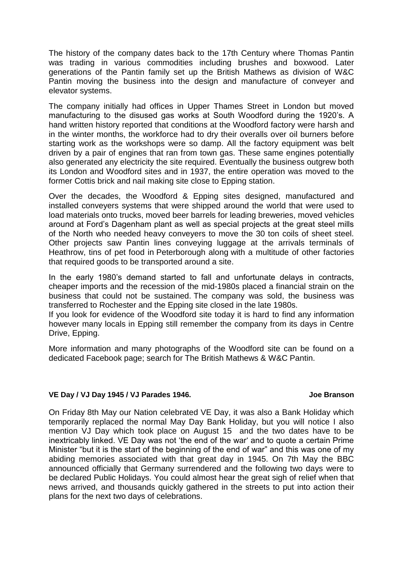The history of the company dates back to the 17th Century where Thomas Pantin was trading in various commodities including brushes and boxwood. Later generations of the Pantin family set up the British Mathews as division of W&C Pantin moving the business into the design and manufacture of conveyer and elevator systems.

The company initially had offices in Upper Thames Street in London but moved manufacturing to the disused gas works at South Woodford during the 1920's. A hand written history reported that conditions at the Woodford factory were harsh and in the winter months, the workforce had to dry their overalls over oil burners before starting work as the workshops were so damp. All the factory equipment was belt driven by a pair of engines that ran from town gas. These same engines potentially also generated any electricity the site required. Eventually the business outgrew both its London and Woodford sites and in 1937, the entire operation was moved to the former Cottis brick and nail making site close to Epping station.

Over the decades, the Woodford & Epping sites designed, manufactured and installed conveyers systems that were shipped around the world that were used to load materials onto trucks, moved beer barrels for leading breweries, moved vehicles around at Ford's Dagenham plant as well as special projects at the great steel mills of the North who needed heavy conveyers to move the 30 ton coils of sheet steel. Other projects saw Pantin lines conveying luggage at the arrivals terminals of Heathrow, tins of pet food in Peterborough along with a multitude of other factories that required goods to be transported around a site.

In the early 1980's demand started to fall and unfortunate delays in contracts, cheaper imports and the recession of the mid-1980s placed a financial strain on the business that could not be sustained. The company was sold, the business was transferred to Rochester and the Epping site closed in the late 1980s.

If you look for evidence of the Woodford site today it is hard to find any information however many locals in Epping still remember the company from its days in Centre Drive, Epping.

More information and many photographs of the Woodford site can be found on a dedicated Facebook page; search for The British Mathews & W&C Pantin.

## **VE Day / VJ Day 1945 / VJ Parades 1946. Joe Branson**

On Friday 8th May our Nation celebrated VE Day, it was also a Bank Holiday which temporarily replaced the normal May Day Bank Holiday, but you will notice I also mention VJ Day which took place on August 15 and the two dates have to be inextricably linked. VE Day was not 'the end of the war' and to quote a certain Prime Minister "but it is the start of the beginning of the end of war" and this was one of my abiding memories associated with that great day in 1945. On 7th May the BBC announced officially that Germany surrendered and the following two days were to be declared Public Holidays. You could almost hear the great sigh of relief when that news arrived, and thousands quickly gathered in the streets to put into action their plans for the next two days of celebrations.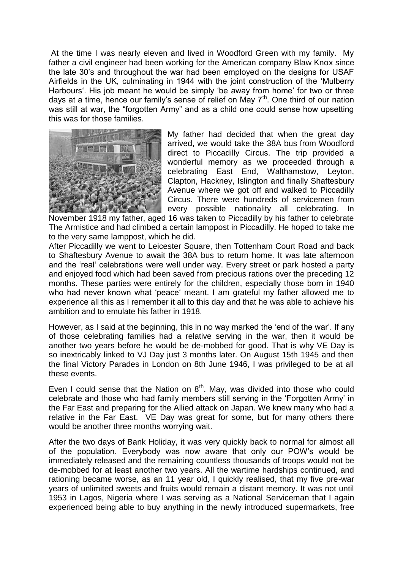At the time I was nearly eleven and lived in Woodford Green with my family. My father a civil engineer had been working for the American company Blaw Knox since the late 30's and throughout the war had been employed on the designs for USAF Airfields in the UK, culminating in 1944 with the joint construction of the 'Mulberry Harbours'. His job meant he would be simply 'be away from home' for two or three days at a time, hence our family's sense of relief on May  $7<sup>th</sup>$ . One third of our nation was still at war, the "forgotten Army" and as a child one could sense how upsetting this was for those families.



My father had decided that when the great day arrived, we would take the 38A bus from Woodford direct to Piccadilly Circus. The trip provided a wonderful memory as we proceeded through a celebrating East End, Walthamstow, Leyton, Clapton, Hackney, Islington and finally Shaftesbury Avenue where we got off and walked to Piccadilly Circus. There were hundreds of servicemen from every possible nationality all celebrating. In

November 1918 my father, aged 16 was taken to Piccadilly by his father to celebrate The Armistice and had climbed a certain lamppost in Piccadilly. He hoped to take me to the very same lamppost, which he did.

After Piccadilly we went to Leicester Square, then Tottenham Court Road and back to Shaftesbury Avenue to await the 38A bus to return home. It was late afternoon and the 'real' celebrations were well under way. Every street or park hosted a party and enjoyed food which had been saved from precious rations over the preceding 12 months. These parties were entirely for the children, especially those born in 1940 who had never known what 'peace' meant. I am grateful my father allowed me to experience all this as I remember it all to this day and that he was able to achieve his ambition and to emulate his father in 1918.

However, as I said at the beginning, this in no way marked the 'end of the war'. If any of those celebrating families had a relative serving in the war, then it would be another two years before he would be de-mobbed for good. That is why VE Day is so inextricably linked to VJ Day just 3 months later. On August 15th 1945 and then the final Victory Parades in London on 8th June 1946, I was privileged to be at all these events.

Even I could sense that the Nation on  $8<sup>th</sup>$ . May, was divided into those who could celebrate and those who had family members still serving in the 'Forgotten Army' in the Far East and preparing for the Allied attack on Japan. We knew many who had a relative in the Far East. VE Day was great for some, but for many others there would be another three months worrying wait.

After the two days of Bank Holiday, it was very quickly back to normal for almost all of the population. Everybody was now aware that only our POW's would be immediately released and the remaining countless thousands of troops would not be de-mobbed for at least another two years. All the wartime hardships continued, and rationing became worse, as an 11 year old, I quickly realised, that my five pre-war years of unlimited sweets and fruits would remain a distant memory. It was not until 1953 in Lagos, Nigeria where I was serving as a National Serviceman that I again experienced being able to buy anything in the newly introduced supermarkets, free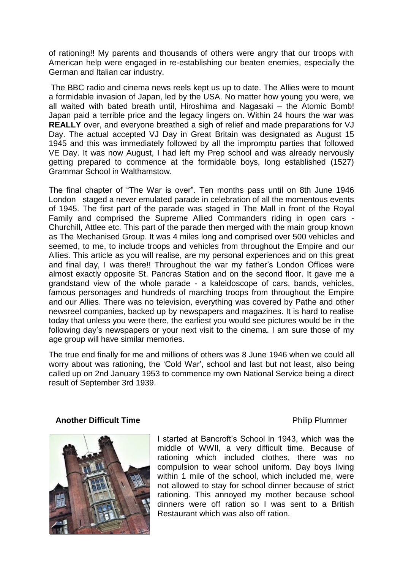of rationing!! My parents and thousands of others were angry that our troops with American help were engaged in re-establishing our beaten enemies, especially the German and Italian car industry.

The BBC radio and cinema news reels kept us up to date. The Allies were to mount a formidable invasion of Japan, led by the USA. No matter how young you were, we all waited with bated breath until, Hiroshima and Nagasaki – the Atomic Bomb! Japan paid a terrible price and the legacy lingers on. Within 24 hours the war was **REALLY** over, and everyone breathed a sigh of relief and made preparations for VJ Day. The actual accepted VJ Day in Great Britain was designated as August 15 1945 and this was immediately followed by all the impromptu parties that followed VE Day. It was now August, I had left my Prep school and was already nervously getting prepared to commence at the formidable boys, long established (1527) Grammar School in Walthamstow.

The final chapter of "The War is over". Ten months pass until on 8th June 1946 London staged a never emulated parade in celebration of all the momentous events of 1945. The first part of the parade was staged in The Mall in front of the Royal Family and comprised the Supreme Allied Commanders riding in open cars - Churchill, Attlee etc. This part of the parade then merged with the main group known as The Mechanised Group. It was 4 miles long and comprised over 500 vehicles and seemed, to me, to include troops and vehicles from throughout the Empire and our Allies. This article as you will realise, are my personal experiences and on this great and final day, I was there!! Throughout the war my father's London Offices were almost exactly opposite St. Pancras Station and on the second floor. It gave me a grandstand view of the whole parade - a kaleidoscope of cars, bands, vehicles, famous personages and hundreds of marching troops from throughout the Empire and our Allies. There was no television, everything was covered by Pathe and other newsreel companies, backed up by newspapers and magazines. It is hard to realise today that unless you were there, the earliest you would see pictures would be in the following day's newspapers or your next visit to the cinema. I am sure those of my age group will have similar memories.

The true end finally for me and millions of others was 8 June 1946 when we could all worry about was rationing, the 'Cold War', school and last but not least, also being called up on 2nd January 1953 to commence my own National Service being a direct result of September 3rd 1939.

#### **Another Difficult Time Another Difficult Time**



I started at Bancroft's School in 1943, which was the middle of WWII, a very difficult time. Because of rationing which included clothes, there was no compulsion to wear school uniform. Day boys living within 1 mile of the school, which included me, were not allowed to stay for school dinner because of strict rationing. This annoyed my mother because school dinners were off ration so I was sent to a British Restaurant which was also off ration.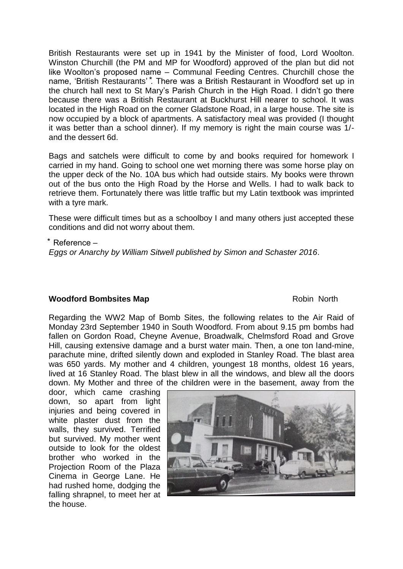British Restaurants were set up in 1941 by the Minister of food, Lord Woolton. Winston Churchill (the PM and MP for Woodford) approved of the plan but did not like Woolton's proposed name – Communal Feeding Centres. Churchill chose the name, 'British Restaurants'<sup>\*</sup>. There was a British Restaurant in Woodford set up in the church hall next to St Mary's Parish Church in the High Road. I didn't go there because there was a British Restaurant at Buckhurst Hill nearer to school. It was located in the High Road on the corner Gladstone Road, in a large house. The site is now occupied by a block of apartments. A satisfactory meal was provided (I thought it was better than a school dinner). If my memory is right the main course was 1/ and the dessert 6d.

Bags and satchels were difficult to come by and books required for homework I carried in my hand. Going to school one wet morning there was some horse play on the upper deck of the No. 10A bus which had outside stairs. My books were thrown out of the bus onto the High Road by the Horse and Wells. I had to walk back to retrieve them. Fortunately there was little traffic but my Latin textbook was imprinted with a tyre mark.

These were difficult times but as a schoolboy I and many others just accepted these conditions and did not worry about them.

⃰ Reference –

*Eggs or Anarchy by William Sitwell published by Simon and Schaster 2016*.

## **Woodford Bombsites Map Robin North** Robin North

Regarding the WW2 Map of Bomb Sites, the following relates to the Air Raid of Monday 23rd September 1940 in South Woodford. From about 9.15 pm bombs had fallen on Gordon Road, Cheyne Avenue, Broadwalk, Chelmsford Road and Grove Hill, causing extensive damage and a burst water main. Then, a one ton land-mine, parachute mine, drifted silently down and exploded in Stanley Road. The blast area was 650 yards. My mother and 4 children, youngest 18 months, oldest 16 years, lived at 16 Stanley Road. The blast blew in all the windows, and blew all the doors down. My Mother and three of the children were in the basement, away from the

door, which came crashing down, so apart from light injuries and being covered in white plaster dust from the walls, they survived. Terrified but survived. My mother went outside to look for the oldest brother who worked in the Projection Room of the Plaza Cinema in George Lane. He had rushed home, dodging the falling shrapnel, to meet her at the house.

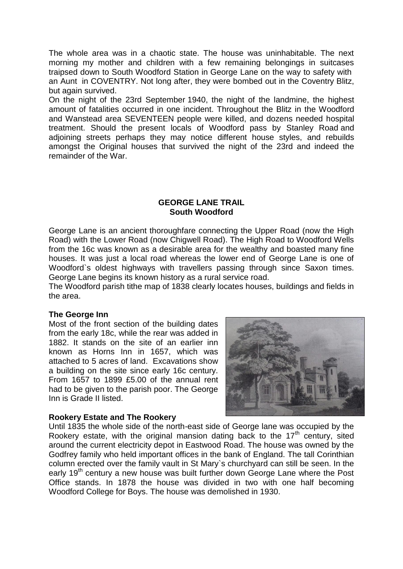The whole area was in a chaotic state. The house was uninhabitable. The next morning my mother and children with a few remaining belongings in suitcases traipsed down to South Woodford Station in George Lane on the way to safety with an Aunt in COVENTRY. Not long after, they were bombed out in the Coventry Blitz, but again survived.

On the night of the 23rd September 1940, the night of the landmine, the highest amount of fatalities occurred in one incident. Throughout the Blitz in the Woodford and Wanstead area SEVENTEEN people were killed, and dozens needed hospital treatment. Should the present locals of Woodford pass by Stanley Road and adjoining streets perhaps they may notice different house styles, and rebuilds amongst the Original houses that survived the night of the 23rd and indeed the remainder of the War.

## **GEORGE LANE TRAIL South Woodford**

George Lane is an ancient thoroughfare connecting the Upper Road (now the High Road) with the Lower Road (now Chigwell Road). The High Road to Woodford Wells from the 16c was known as a desirable area for the wealthy and boasted many fine houses. It was just a local road whereas the lower end of George Lane is one of Woodford`s oldest highways with travellers passing through since Saxon times. George Lane begins its known history as a rural service road.

The Woodford parish tithe map of 1838 clearly locates houses, buildings and fields in the area.

## **The George Inn**

Most of the front section of the building dates from the early 18c, while the rear was added in 1882. It stands on the site of an earlier inn known as Horns Inn in 1657, which was attached to 5 acres of land. Excavations show a building on the site since early 16c century. From 1657 to 1899 £5.00 of the annual rent had to be given to the parish poor. The George Inn is Grade II listed.



## **Rookery Estate and The Rookery**

Until 1835 the whole side of the north-east side of George lane was occupied by the Rookery estate, with the original mansion dating back to the  $17<sup>th</sup>$  century, sited around the current electricity depot in Eastwood Road. The house was owned by the Godfrey family who held important offices in the bank of England. The tall Corinthian column erected over the family vault in St Mary`s churchyard can still be seen. In the early 19<sup>th</sup> century a new house was built further down George Lane where the Post Office stands. In 1878 the house was divided in two with one half becoming Woodford College for Boys. The house was demolished in 1930.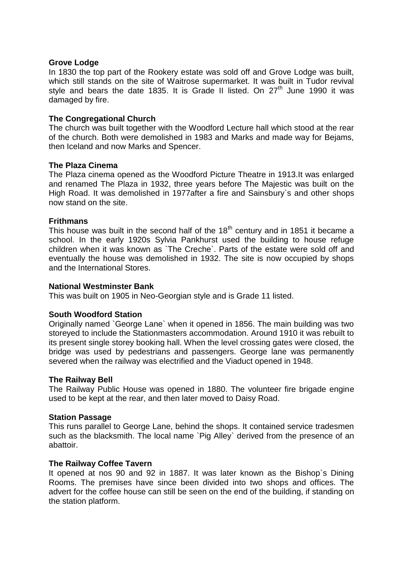#### **Grove Lodge**

In 1830 the top part of the Rookery estate was sold off and Grove Lodge was built, which still stands on the site of Waitrose supermarket. It was built in Tudor revival style and bears the date 1835. It is Grade II listed. On  $27<sup>th</sup>$  June 1990 it was damaged by fire.

#### **The Congregational Church**

The church was built together with the Woodford Lecture hall which stood at the rear of the church. Both were demolished in 1983 and Marks and made way for Bejams, then Iceland and now Marks and Spencer.

#### **The Plaza Cinema**

The Plaza cinema opened as the Woodford Picture Theatre in 1913.It was enlarged and renamed The Plaza in 1932, three years before The Majestic was built on the High Road. It was demolished in 1977after a fire and Sainsbury`s and other shops now stand on the site.

#### **Frithmans**

This house was built in the second half of the  $18<sup>th</sup>$  century and in 1851 it became a school. In the early 1920s Sylvia Pankhurst used the building to house refuge children when it was known as `The Creche`. Parts of the estate were sold off and eventually the house was demolished in 1932. The site is now occupied by shops and the International Stores.

#### **National Westminster Bank**

This was built on 1905 in Neo-Georgian style and is Grade 11 listed.

## **South Woodford Station**

Originally named `George Lane` when it opened in 1856. The main building was two storeyed to include the Stationmasters accommodation. Around 1910 it was rebuilt to its present single storey booking hall. When the level crossing gates were closed, the bridge was used by pedestrians and passengers. George lane was permanently severed when the railway was electrified and the Viaduct opened in 1948.

#### **The Railway Bell**

The Railway Public House was opened in 1880. The volunteer fire brigade engine used to be kept at the rear, and then later moved to Daisy Road.

#### **Station Passage**

This runs parallel to George Lane, behind the shops. It contained service tradesmen such as the blacksmith. The local name `Pig Alley` derived from the presence of an abattoir.

#### **The Railway Coffee Tavern**

It opened at nos 90 and 92 in 1887. It was later known as the Bishop`s Dining Rooms. The premises have since been divided into two shops and offices. The advert for the coffee house can still be seen on the end of the building, if standing on the station platform.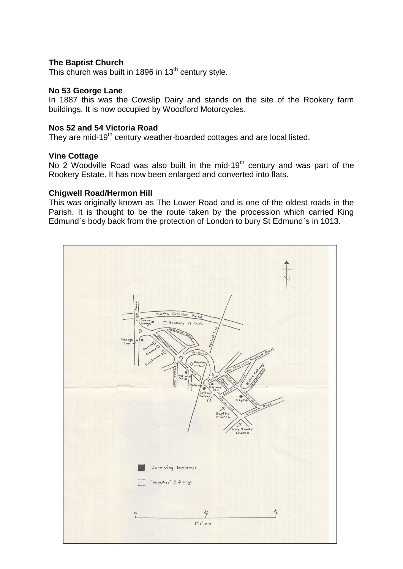#### **The Baptist Church**

This church was built in 1896 in  $13<sup>th</sup>$  century style.

#### **No 53 George Lane**

In 1887 this was the Cowslip Dairy and stands on the site of the Rookery farm buildings. It is now occupied by Woodford Motorcycles.

#### **Nos 52 and 54 Victoria Road**

They are mid-19<sup>th</sup> century weather-boarded cottages and are local listed.

#### **Vine Cottage**

No 2 Woodville Road was also built in the mid-19<sup>th</sup> century and was part of the Rookery Estate. It has now been enlarged and converted into flats.

#### **Chigwell Road/Hermon Hill**

This was originally known as The Lower Road and is one of the oldest roads in the Parish. It is thought to be the route taken by the procession which carried King Edmund`s body back from the protection of London to bury St Edmund`s in 1013.

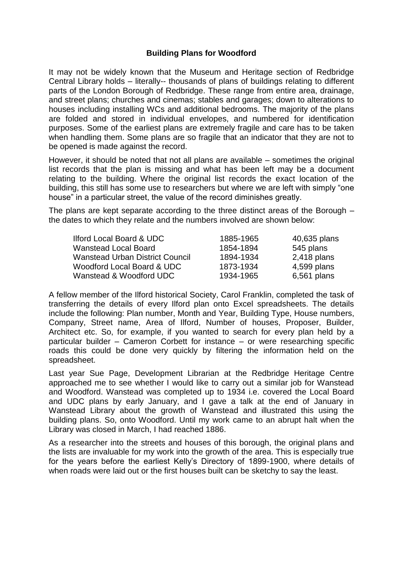## **Building Plans for Woodford**

It may not be widely known that the Museum and Heritage section of Redbridge Central Library holds – literally-- thousands of plans of buildings relating to different parts of the London Borough of Redbridge. These range from entire area, drainage, and street plans; churches and cinemas; stables and garages; down to alterations to houses including installing WCs and additional bedrooms. The majority of the plans are folded and stored in individual envelopes, and numbered for identification purposes. Some of the earliest plans are extremely fragile and care has to be taken when handling them. Some plans are so fragile that an indicator that they are not to be opened is made against the record.

However, it should be noted that not all plans are available – sometimes the original list records that the plan is missing and what has been left may be a document relating to the building. Where the original list records the exact location of the building, this still has some use to researchers but where we are left with simply "one house" in a particular street, the value of the record diminishes greatly.

The plans are kept separate according to the three distinct areas of the Borough – the dates to which they relate and the numbers involved are shown below:

| <b>Ilford Local Board &amp; UDC</b>    | 1885-1965 | 40,635 plans  |
|----------------------------------------|-----------|---------------|
| <b>Wanstead Local Board</b>            | 1854-1894 | 545 plans     |
| <b>Wanstead Urban District Council</b> | 1894-1934 | $2,418$ plans |
| Woodford Local Board & UDC             | 1873-1934 | 4,599 plans   |
| Wanstead & Woodford UDC                | 1934-1965 | 6,561 plans   |

A fellow member of the Ilford historical Society, Carol Franklin, completed the task of transferring the details of every Ilford plan onto Excel spreadsheets. The details include the following: Plan number, Month and Year, Building Type, House numbers, Company, Street name, Area of Ilford, Number of houses, Proposer, Builder, Architect etc. So, for example, if you wanted to search for every plan held by a particular builder – Cameron Corbett for instance – or were researching specific roads this could be done very quickly by filtering the information held on the spreadsheet.

Last year Sue Page, Development Librarian at the Redbridge Heritage Centre approached me to see whether I would like to carry out a similar job for Wanstead and Woodford. Wanstead was completed up to 1934 i.e. covered the Local Board and UDC plans by early January, and I gave a talk at the end of January in Wanstead Library about the growth of Wanstead and illustrated this using the building plans. So, onto Woodford. Until my work came to an abrupt halt when the Library was closed in March, I had reached 1886.

As a researcher into the streets and houses of this borough, the original plans and the lists are invaluable for my work into the growth of the area. This is especially true for the years before the earliest Kelly's Directory of 1899-1900, where details of when roads were laid out or the first houses built can be sketchy to say the least.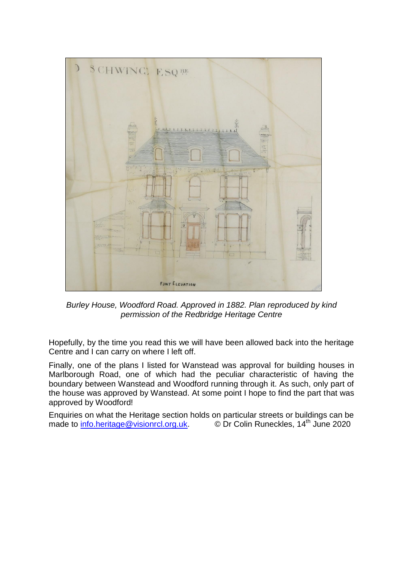

*Burley House, Woodford Road. Approved in 1882. Plan reproduced by kind permission of the Redbridge Heritage Centre*

Hopefully, by the time you read this we will have been allowed back into the heritage Centre and I can carry on where I left off.

Finally, one of the plans I listed for Wanstead was approval for building houses in Marlborough Road, one of which had the peculiar characteristic of having the boundary between Wanstead and Woodford running through it. As such, only part of the house was approved by Wanstead. At some point I hope to find the part that was approved by Woodford!

Enquiries on what the Heritage section holds on particular streets or buildings can be made to [info.heritage@visionrcl.org.uk.](mailto:info.heritage@visionrcl.org.uk) 
© Dr Colin Runeckles, 14<sup>th</sup> June 2020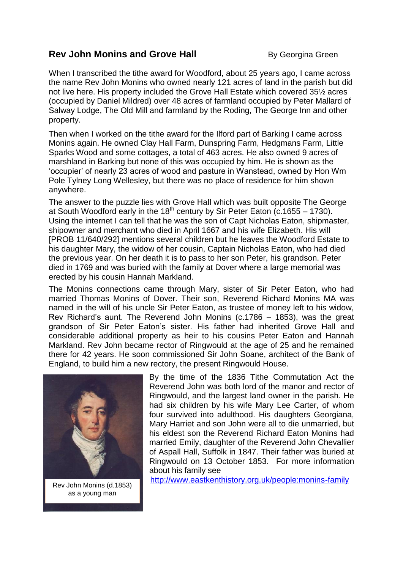# **Rev John Monins and Grove Hall** By Georgina Green

When I transcribed the tithe award for Woodford, about 25 years ago, I came across the name Rev John Monins who owned nearly 121 acres of land in the parish but did not live here. His property included the Grove Hall Estate which covered 35½ acres (occupied by Daniel Mildred) over 48 acres of farmland occupied by Peter Mallard of Salway Lodge, The Old Mill and farmland by the Roding, The George Inn and other property.

Then when I worked on the tithe award for the Ilford part of Barking I came across Monins again. He owned Clay Hall Farm, Dunspring Farm, Hedgmans Farm, Little Sparks Wood and some cottages, a total of 463 acres. He also owned 9 acres of marshland in Barking but none of this was occupied by him. He is shown as the 'occupier' of nearly 23 acres of wood and pasture in Wanstead, owned by Hon Wm Pole Tylney Long Wellesley, but there was no place of residence for him shown anywhere.

The answer to the puzzle lies with Grove Hall which was built opposite The George at South Woodford early in the 18<sup>th</sup> century by Sir Peter Eaton (c.1655 – 1730). Using the internet I can tell that he was the son of Capt Nicholas Eaton, shipmaster, shipowner and merchant who died in April 1667 and his wife Elizabeth. His will [PROB 11/640/292] mentions several children but he leaves the Woodford Estate to his daughter Mary, the widow of her cousin, Captain Nicholas Eaton, who had died the previous year. On her death it is to pass to her son Peter, his grandson. Peter died in 1769 and was buried with the family at Dover where a large memorial was erected by his cousin Hannah Markland.

The Monins connections came through Mary, sister of Sir Peter Eaton, who had married Thomas Monins of Dover. Their son, Reverend Richard Monins MA was named in the will of his uncle Sir Peter Eaton, as trustee of money left to his widow, Rev Richard's aunt. The Reverend John Monins (c.1786 – 1853), was the great grandson of Sir Peter Eaton's sister. His father had inherited Grove Hall and considerable additional property as heir to his cousins Peter Eaton and Hannah Markland. Rev John became rector of Ringwould at the age of 25 and he remained there for 42 years. He soon commissioned Sir John Soane, architect of the Bank of England, to build him a new rectory, the present Ringwould House.



Rev John Monins (d.1853) as a young man

By the time of the 1836 Tithe Commutation Act the Reverend John was both lord of the manor and rector of Ringwould, and the largest land owner in the parish. He had six children by his wife Mary Lee Carter, of whom four survived into adulthood. His daughters Georgiana, Mary Harriet and son John were all to die unmarried, but his eldest son the Reverend Richard Eaton Monins had married Emily, daughter of the Reverend John Chevallier of Aspall Hall, Suffolk in 1847. Their father was buried at Ringwould on 13 October 1853. For more information about his family see

<http://www.eastkenthistory.org.uk/people:monins-family>